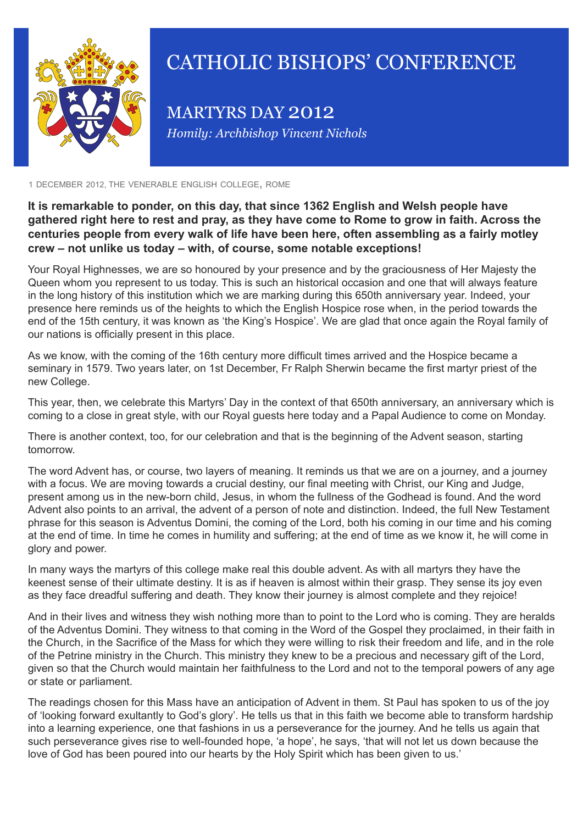

## CATHOLIC BISHOPS' CONFERENCE

MARTYRS DAY 2012 *Homily: Archbishop Vincent Nichols*

<sup>1</sup> december 2012, the venerable english college, rome

**It is remarkable to ponder, on this day, that since 1362 English and Welsh people have gathered right here to rest and pray, as they have come to Rome to grow in faith. Across the centuries people from every walk of life have been here, often assembling as a fairly motley crew – not unlike us today – with, of course, some notable exceptions!**

Your Royal Highnesses, we are so honoured by your presence and by the graciousness of Her Majesty the Queen whom you represent to us today. This is such an historical occasion and one that will always feature in the long history of this institution which we are marking during this 650th anniversary year. Indeed, your presence here reminds us of the heights to which the English Hospice rose when, in the period towards the end of the 15th century, it was known as 'the King's Hospice'. We are glad that once again the Royal family of our nations is officially present in this place.

As we know, with the coming of the 16th century more difficult times arrived and the Hospice became a seminary in 1579. Two years later, on 1st December, Fr Ralph Sherwin became the first martyr priest of the new College.

This year, then, we celebrate this Martyrs' Day in the context of that 650th anniversary, an anniversary which is coming to a close in great style, with our Royal guests here today and a Papal Audience to come on Monday.

There is another context, too, for our celebration and that is the beginning of the Advent season, starting tomorrow.

The word Advent has, or course, two layers of meaning. It reminds us that we are on a journey, and a journey with a focus. We are moving towards a crucial destiny, our final meeting with Christ, our King and Judge, present among us in the new-born child, Jesus, in whom the fullness of the Godhead is found. And the word Advent also points to an arrival, the advent of a person of note and distinction. Indeed, the full New Testament phrase for this season is Adventus Domini, the coming of the Lord, both his coming in our time and his coming at the end of time. In time he comes in humility and suffering; at the end of time as we know it, he will come in glory and power.

In many ways the martyrs of this college make real this double advent. As with all martyrs they have the keenest sense of their ultimate destiny. It is as if heaven is almost within their grasp. They sense its joy even as they face dreadful suffering and death. They know their journey is almost complete and they rejoice!

And in their lives and witness they wish nothing more than to point to the Lord who is coming. They are heralds of the Adventus Domini. They witness to that coming in the Word of the Gospel they proclaimed, in their faith in the Church, in the Sacrifice of the Mass for which they were willing to risk their freedom and life, and in the role of the Petrine ministry in the Church. This ministry they knew to be a precious and necessary gift of the Lord, given so that the Church would maintain her faithfulness to the Lord and not to the temporal powers of any age or state or parliament.

The readings chosen for this Mass have an anticipation of Advent in them. St Paul has spoken to us of the joy of 'looking forward exultantly to God's glory'. He tells us that in this faith we become able to transform hardship into a learning experience, one that fashions in us a perseverance for the journey. And he tells us again that such perseverance gives rise to well-founded hope, 'a hope', he says, 'that will not let us down because the love of God has been poured into our hearts by the Holy Spirit which has been given to us.'